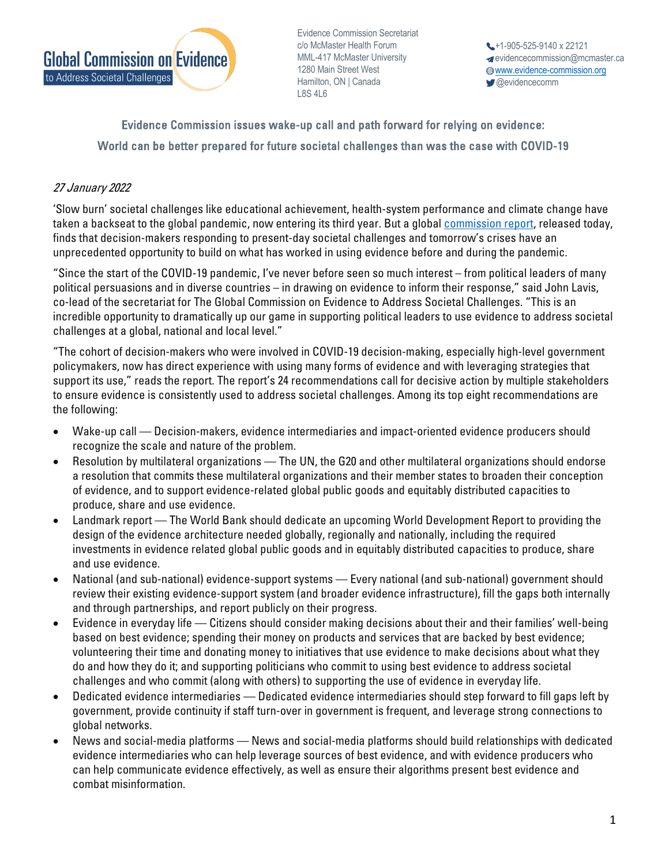

**MINIL-4T7 MCMaster On**<br>1280 Main Street West Hamilton, ON | Canada Evidence Commission Secretariat c/o McMaster Health Forum MML-417 McMaster University L8S 4L6

+1-905-525-9140 x 22121 evidencecommission@mcmaster.ca www.evidence-commission.org **@evidencecomm** 

## Evidence Commission issues wake-up call and path forward for relying on evidence: World can be better prepared for future societal challenges than was the case with COVID-19

## 27 January 2022

'Slow burn' societal challenges like educational achievement, health-system performance and climate change have taken a backseat to the global pandemic, now entering its third year. But a global [commission report,](https://www.mcmasterforum.org/networks/evidence-commission/report/english) released today, finds that decision-makers responding to present-day societal challenges and tomorrow's crises have an unprecedented opportunity to build on what has worked in using evidence before and during the pandemic.

"Since the start of the COVID-19 pandemic, I've never before seen so much interest – from political leaders of many political persuasions and in diverse countries – in drawing on evidence to inform their response," said John Lavis, co-lead of the secretariat for The Global Commission on Evidence to Address Societal Challenges. "This is an incredible opportunity to dramatically up our game in supporting political leaders to use evidence to address societal challenges at a global, national and local level."

"The cohort of decision-makers who were involved in COVID-19 decision-making, especially high-level government policymakers, now has direct experience with using many forms of evidence and with leveraging strategies that support its use," reads the report. The report's 24 recommendations call for decisive action by multiple stakeholders to ensure evidence is consistently used to address societal challenges. Among its top eight recommendations are the following:

- Wake-up call Decision-makers, evidence intermediaries and impact-oriented evidence producers should recognize the scale and nature of the problem.
- Resolution by multilateral organizations The UN, the G20 and other multilateral organizations should endorse a resolution that commits these multilateral organizations and their member states to broaden their conception of evidence, and to support evidence-related global public goods and equitably distributed capacities to produce, share and use evidence.
- Landmark report The World Bank should dedicate an upcoming World Development Report to providing the design of the evidence architecture needed globally, regionally and nationally, including the required investments in evidence related global public goods and in equitably distributed capacities to produce, share and use evidence.
- National (and sub-national) evidence-support systems Every national (and sub-national) government should review their existing evidence-support system (and broader evidence infrastructure), fill the gaps both internally and through partnerships, and report publicly on their progress.
- Evidence in everyday life Citizens should consider making decisions about their and their families' well-being based on best evidence; spending their money on products and services that are backed by best evidence; volunteering their time and donating money to initiatives that use evidence to make decisions about what they do and how they do it; and supporting politicians who commit to using best evidence to address societal challenges and who commit (along with others) to supporting the use of evidence in everyday life.
- Dedicated evidence intermediaries Dedicated evidence intermediaries should step forward to fill gaps left by government, provide continuity if staff turn-over in government is frequent, and leverage strong connections to global networks.
- News and social-media platforms News and social-media platforms should build relationships with dedicated evidence intermediaries who can help leverage sources of best evidence, and with evidence producers who can help communicate evidence effectively, as well as ensure their algorithms present best evidence and combat misinformation.